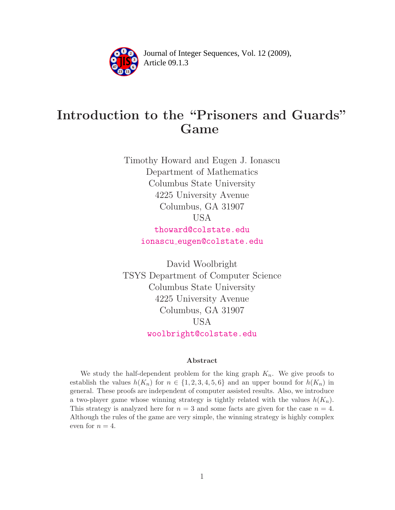

Article 09.1.3 **<sup>2</sup>** Journal of Integer Sequences, Vol. 12 (2009),

# Introduction to the "Prisoners and Guards" Game

Timothy Howard and Eugen J. Ionascu Department of Mathematics Columbus State University 4225 University Avenue Columbus, GA 31907 USA [thoward@colstate.edu](mailto:thoward@colstate.edu)

ionascu [eugen@colstate.edu](mailto:ionascu_eugen@colstate.edu)

David Woolbright TSYS Department of Computer Science Columbus State University 4225 University Avenue Columbus, GA 31907 USA [woolbright@colstate.edu](mailto:woolbright@colstate.edu)

#### Abstract

We study the half-dependent problem for the king graph  $K_n$ . We give proofs to establish the values  $h(K_n)$  for  $n \in \{1, 2, 3, 4, 5, 6\}$  and an upper bound for  $h(K_n)$  in general. These proofs are independent of computer assisted results. Also, we introduce a two-player game whose winning strategy is tightly related with the values  $h(K_n)$ . This strategy is analyzed here for  $n = 3$  and some facts are given for the case  $n = 4$ . Although the rules of the game are very simple, the winning strategy is highly complex even for  $n = 4$ .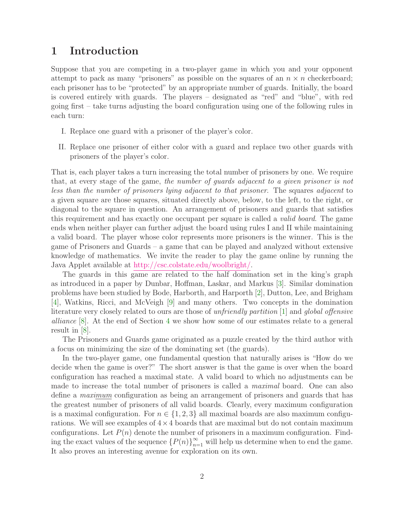#### 1 Introduction

Suppose that you are competing in a two-player game in which you and your opponent attempt to pack as many "prisoners" as possible on the squares of an  $n \times n$  checkerboard; each prisoner has to be "protected" by an appropriate number of guards. Initially, the board is covered entirely with guards. The players – designated as "red" and "blue", with red going first – take turns adjusting the board configuration using one of the following rules in each turn:

- I. Replace one guard with a prisoner of the player's color.
- II. Replace one prisoner of either color with a guard and replace two other guards with prisoners of the player's color.

That is, each player takes a turn increasing the total number of prisoners by one. We require that, at every stage of the game, the number of guards adjacent to a given prisoner is not less than the number of prisoners lying adjacent to that prisoner. The squares adjacent to a given square are those squares, situated directly above, below, to the left, to the right, or diagonal to the square in question. An arrangement of prisoners and guards that satisfies this requirement and has exactly one occupant per square is called a *valid board*. The game ends when neither player can further adjust the board using rules I and II while maintaining a valid board. The player whose color represents more prisoners is the winner. This is the game of Prisoners and Guards – a game that can be played and analyzed without extensive knowledge of mathematics. We invite the reader to play the game online by running the Java Applet available at [http://csc.colstate.edu/woolbright/.](http://csc.colstate.edu/woolbright/)

The guards in this game are related to the half domination set in the king's graph as introduced in a paper by Dunbar, Hoffman, Laskar, and Markus [\[3\]](#page-17-0). Similar domination problems have been studied by Bode, Harborth, and Harporth [\[2\]](#page-17-1), Dutton, Lee, and Brigham [\[4\]](#page-17-2), Watkins, Ricci, and McVeigh [\[9\]](#page-18-0) and many others. Two concepts in the domination literature very closely related to ours are those of unfriendly partition [\[1\]](#page-17-3) and global offensive alliance [\[8\]](#page-18-1). At the end of Section [4](#page-8-0) we show how some of our estimates relate to a general result in [\[8\]](#page-18-1).

The Prisoners and Guards game originated as a puzzle created by the third author with a focus on minimizing the size of the dominating set (the guards).

In the two-player game, one fundamental question that naturally arises is "How do we decide when the game is over?" The short answer is that the game is over when the board configuration has reached a maximal state. A valid board to which no adjustments can be made to increase the total number of prisoners is called a *maximal* board. One can also define a maximum configuration as being an arrangement of prisoners and guards that has the greatest number of prisoners of all valid boards. Clearly, every maximum configuration is a maximal configuration. For  $n \in \{1, 2, 3\}$  all maximal boards are also maximum configurations. We will see examples of  $4\times 4$  boards that are maximal but do not contain maximum configurations. Let  $P(n)$  denote the number of prisoners in a maximum configuration. Finding the exact values of the sequence  $\{P(n)\}_{n=1}^{\infty}$  will help us determine when to end the game. It also proves an interesting avenue for exploration on its own.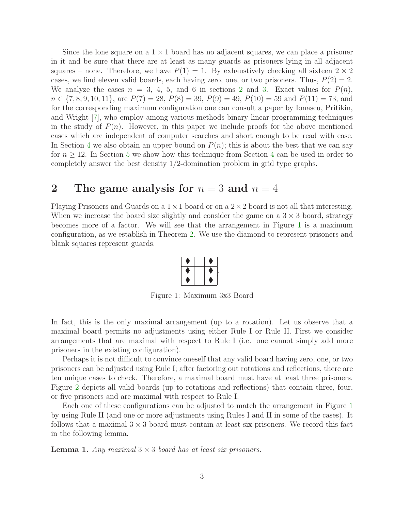Since the lone square on a  $1 \times 1$  board has no adjacent squares, we can place a prisoner in it and be sure that there are at least as many guards as prisoners lying in all adjacent squares – none. Therefore, we have  $P(1) = 1$ . By exhaustively checking all sixteen  $2 \times 2$ cases, we find eleven valid boards, each having zero, one, or two prisoners. Thus,  $P(2) = 2$ . We analyze the cases  $n = 3, 4, 5,$  and 6 in sections [2](#page-2-0) and [3.](#page-5-0) Exact values for  $P(n)$ ,  $n \in \{7, 8, 9, 10, 11\}$ , are  $P(7) = 28$ ,  $P(8) = 39$ ,  $P(9) = 49$ ,  $P(10) = 59$  and  $P(11) = 73$ , and for the corresponding maximum configuration one can consult a paper by Ionascu, Pritikin, and Wright [\[7\]](#page-18-2), who employ among various methods binary linear programming techniques in the study of  $P(n)$ . However, in this paper we include proofs for the above mentioned cases which are independent of computer searches and short enough to be read with ease. In Section [4](#page-8-0) we also obtain an upper bound on  $P(n)$ ; this is about the best that we can say for  $n \geq 12$ . In Section [5](#page-13-0) we show how this technique from Section [4](#page-8-0) can be used in order to completely answer the best density  $1/2$ -domination problem in grid type graphs.

#### <span id="page-2-0"></span>2 The game analysis for  $n = 3$  and  $n = 4$

Playing Prisoners and Guards on a  $1 \times 1$  board or on a  $2 \times 2$  board is not all that interesting. When we increase the board size slightly and consider the game on a  $3 \times 3$  board, strategy becomes more of a factor. We will see that the arrangement in Figure [1](#page-2-1) is a maximum configuration, as we establish in Theorem [2.](#page-3-0) We use the diamond to represent prisoners and blank squares represent guards.

<span id="page-2-1"></span>Figure 1: Maximum 3x3 Board

In fact, this is the only maximal arrangement (up to a rotation). Let us observe that a maximal board permits no adjustments using either Rule I or Rule II. First we consider arrangements that are maximal with respect to Rule I (i.e. one cannot simply add more prisoners in the existing configuration).

Perhaps it is not difficult to convince oneself that any valid board having zero, one, or two prisoners can be adjusted using Rule I; after factoring out rotations and reflections, there are ten unique cases to check. Therefore, a maximal board must have at least three prisoners. Figure [2](#page-3-1) depicts all valid boards (up to rotations and reflections) that contain three, four, or five prisoners and are maximal with respect to Rule I.

Each one of these configurations can be adjusted to match the arrangement in Figure [1](#page-2-1) by using Rule II (and one or more adjustments using Rules I and II in some of the cases). It follows that a maximal  $3 \times 3$  board must contain at least six prisoners. We record this fact in the following lemma.

<span id="page-2-2"></span>**Lemma 1.** Any maximal  $3 \times 3$  board has at least six prisoners.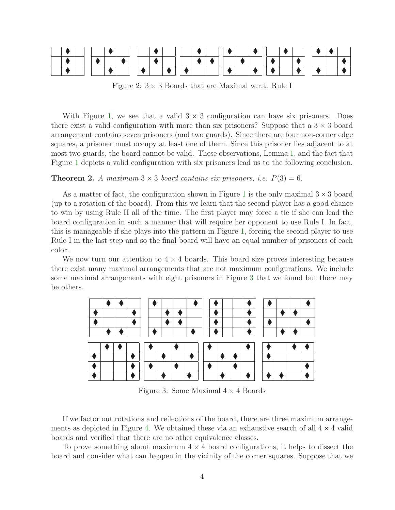

<span id="page-3-1"></span>Figure 2:  $3 \times 3$  Boards that are Maximal w.r.t. Rule I

With Figure [1,](#page-2-1) we see that a valid  $3 \times 3$  configuration can have six prisoners. Does there exist a valid configuration with more than six prisoners? Suppose that a  $3 \times 3$  board arrangement contains seven prisoners (and two guards). Since there are four non-corner edge squares, a prisoner must occupy at least one of them. Since this prisoner lies adjacent to at most two guards, the board cannot be valid. These observations, Lemma [1,](#page-2-2) and the fact that Figure [1](#page-2-1) depicts a valid configuration with six prisoners lead us to the following conclusion.

#### <span id="page-3-0"></span>**Theorem 2.** A maximum  $3 \times 3$  board contains six prisoners, i.e.  $P(3) = 6$ .

As a matter of fact, the configuration shown in Figure [1](#page-2-1) is the only maximal  $3 \times 3$  board (up to a rotation of the board). From this we learn that the second player has a good chance to win by using Rule II all of the time. The first player may force a tie if she can lead the board configuration in such a manner that will require her opponent to use Rule I. In fact, this is manageable if she plays into the pattern in Figure [1,](#page-2-1) forcing the second player to use Rule I in the last step and so the final board will have an equal number of prisoners of each color.

We now turn our attention to  $4 \times 4$  boards. This board size proves interesting because there exist many maximal arrangements that are not maximum configurations. We include some maximal arrangements with eight prisoners in Figure [3](#page-3-2) that we found but there may be others.



<span id="page-3-2"></span>Figure 3: Some Maximal  $4 \times 4$  Boards

If we factor out rotations and reflections of the board, there are three maximum arrange-ments as depicted in Figure [4.](#page-4-0) We obtained these via an exhaustive search of all  $4 \times 4$  valid boards and verified that there are no other equivalence classes.

To prove something about maximum  $4 \times 4$  board configurations, it helps to dissect the board and consider what can happen in the vicinity of the corner squares. Suppose that we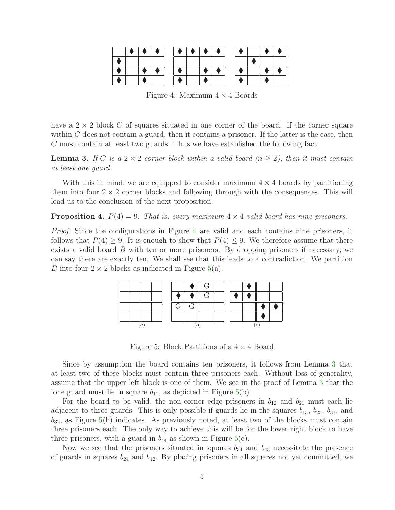|  |  | $\bullet$ $\qquad$ | $\bullet$ $\mathord{\hspace{1pt}\text{--}\hspace{1pt}}$ | $\bullet$ | $\begin{array}{c c c c c} \hline \textbf{1} & \textbf{0} & \textbf{0} & \textbf{0} \\ \hline \textbf{2} & \textbf{0} & \textbf{0} & \textbf{0} & \textbf{0} \\ \hline \textbf{3} & \textbf{0} & \textbf{0} & \textbf{0} & \textbf{0} & \textbf{0} \\ \hline \textbf{4} & \textbf{0} & \textbf{0} & \textbf{0} & \textbf{0} & \textbf{0} & \textbf{0} \\ \hline \textbf{5} & \textbf{0} & \textbf{0} & \textbf{0} & \textbf{0} & \$ | r. |  |  |
|--|--|--------------------|---------------------------------------------------------|-----------|------------------------------------------------------------------------------------------------------------------------------------------------------------------------------------------------------------------------------------------------------------------------------------------------------------------------------------------------------------------------------------------------------------------------------------|----|--|--|
|  |  |                    |                                                         |           |                                                                                                                                                                                                                                                                                                                                                                                                                                    |    |  |  |
|  |  |                    |                                                         |           |                                                                                                                                                                                                                                                                                                                                                                                                                                    |    |  |  |
|  |  |                    |                                                         |           |                                                                                                                                                                                                                                                                                                                                                                                                                                    |    |  |  |

<span id="page-4-0"></span>Figure 4: Maximum  $4 \times 4$  Boards

have a  $2 \times 2$  block C of squares situated in one corner of the board. If the corner square within  $C$  does not contain a guard, then it contains a prisoner. If the latter is the case, then C must contain at least two guards. Thus we have established the following fact.

<span id="page-4-2"></span>**Lemma 3.** If C is a  $2 \times 2$  corner block within a valid board  $(n \geq 2)$ , then it must contain at least one guard.

With this in mind, we are equipped to consider maximum  $4 \times 4$  boards by partitioning them into four  $2 \times 2$  corner blocks and following through with the consequences. This will lead us to the conclusion of the next proposition.

<span id="page-4-3"></span>**Proposition 4.**  $P(4) = 9$ . That is, every maximum  $4 \times 4$  valid board has nine prisoners.

*Proof.* Since the configurations in Figure [4](#page-4-0) are valid and each contains nine prisoners, it follows that  $P(4) \geq 9$ . It is enough to show that  $P(4) \leq 9$ . We therefore assume that there exists a valid board B with ten or more prisoners. By dropping prisoners if necessary, we can say there are exactly ten. We shall see that this leads to a contradiction. We partition B into four  $2 \times 2$  blocks as indicated in Figure [5\(](#page-4-1)a).



<span id="page-4-1"></span>Figure 5: Block Partitions of a  $4 \times 4$  Board

Since by assumption the board contains ten prisoners, it follows from Lemma [3](#page-4-2) that at least two of these blocks must contain three prisoners each. Without loss of generality, assume that the upper left block is one of them. We see in the proof of Lemma [3](#page-4-2) that the lone guard must lie in square  $b_{11}$ , as depicted in Figure [5\(](#page-4-1)b).

For the board to be valid, the non-corner edge prisoners in  $b_{12}$  and  $b_{21}$  must each lie adjacent to three guards. This is only possible if guards lie in the squares  $b_{13}$ ,  $b_{23}$ ,  $b_{31}$ , and  $b_{32}$ , as Figure [5\(](#page-4-1)b) indicates. As previously noted, at least two of the blocks must contain three prisoners each. The only way to achieve this will be for the lower right block to have three prisoners, with a guard in  $b_{44}$  as shown in Figure [5\(](#page-4-1)c).

Now we see that the prisoners situated in squares  $b_{34}$  and  $b_{43}$  necessitate the presence of guards in squares  $b_{24}$  and  $b_{42}$ . By placing prisoners in all squares not yet committed, we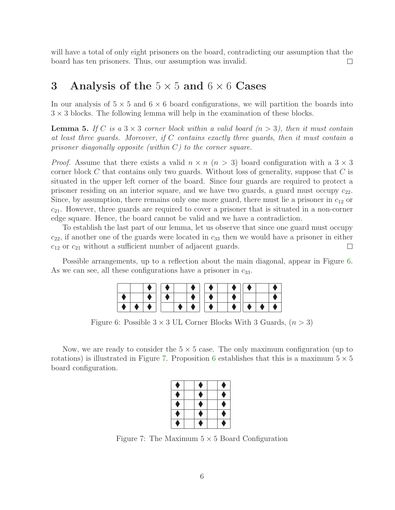will have a total of only eight prisoners on the board, contradicting our assumption that the board has ten prisoners. Thus, our assumption was invalid.  $\Box$ 

#### <span id="page-5-0"></span>3 Analysis of the  $5 \times 5$  and  $6 \times 6$  Cases

<span id="page-5-4"></span>In our analysis of  $5 \times 5$  and  $6 \times 6$  board configurations, we will partition the boards into  $3 \times 3$  blocks. The following lemma will help in the examination of these blocks.

**Lemma 5.** If C is a  $3 \times 3$  corner block within a valid board  $(n > 3)$ , then it must contain at least three guards. Moreover, if  $C$  contains exactly three guards, then it must contain a prisoner diagonally opposite (within  $C$ ) to the corner square.

*Proof.* Assume that there exists a valid  $n \times n$   $(n > 3)$  board configuration with a  $3 \times 3$ corner block C that contains only two guards. Without loss of generality, suppose that  $C$  is situated in the upper left corner of the board. Since four guards are required to protect a prisoner residing on an interior square, and we have two guards, a guard must occupy  $c_{22}$ . Since, by assumption, there remains only one more guard, there must lie a prisoner in  $c_{12}$  or  $c_{21}$ . However, three guards are required to cover a prisoner that is situated in a non-corner edge square. Hence, the board cannot be valid and we have a contradiction.

To establish the last part of our lemma, let us observe that since one guard must occupy  $c_{22}$ , if another one of the guards were located in  $c_{33}$  then we would have a prisoner in either  $c_{12}$  or  $c_{21}$  without a sufficient number of adjacent guards.  $\Box$ 

Possible arrangements, up to a reflection about the main diagonal, appear in Figure [6.](#page-5-1) As we can see, all these configurations have a prisoner in  $c_{33}$ .

|           | ∣ ∣ ∢ |   | $\bullet \mid \; \; \bullet$ |           |            |  |
|-----------|-------|---|------------------------------|-----------|------------|--|
|           |       |   |                              |           |            |  |
| $\bullet$ |       | . |                              | $\bullet$ | <b>.</b> . |  |

<span id="page-5-1"></span>Figure 6: Possible  $3 \times 3$  UL Corner Blocks With 3 Guards,  $(n > 3)$ 

Now, we are ready to consider the  $5 \times 5$  case. The only maximum configuration (up to rotations) is illustrated in Figure [7.](#page-5-2) Proposition [6](#page-5-3) establishes that this is a maximum  $5 \times 5$ board configuration.

| × |  |   |
|---|--|---|
|   |  |   |
|   |  | × |
|   |  |   |

<span id="page-5-3"></span><span id="page-5-2"></span>Figure 7: The Maximum  $5 \times 5$  Board Configuration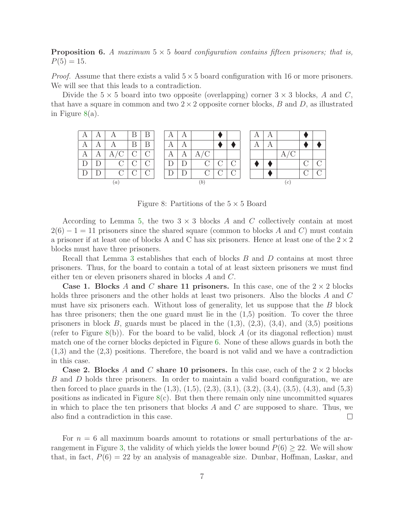**Proposition 6.** A maximum  $5 \times 5$  board configuration contains fifteen prisoners; that is,  $P(5) = 15.$ 

*Proof.* Assume that there exists a valid  $5 \times 5$  board configuration with 16 or more prisoners. We will see that this leads to a contradiction.

Divide the  $5 \times 5$  board into two opposite (overlapping) corner  $3 \times 3$  blocks, A and C, that have a square in common and two  $2 \times 2$  opposite corner blocks, B and D, as illustrated in Figure [8\(](#page-6-0)a).



<span id="page-6-0"></span>Figure 8: Partitions of the  $5 \times 5$  Board

According to Lemma [5,](#page-5-4) the two  $3 \times 3$  blocks A and C collectively contain at most  $2(6) - 1 = 11$  prisoners since the shared square (common to blocks A and C) must contain a prisoner if at least one of blocks A and C has six prisoners. Hence at least one of the  $2 \times 2$ blocks must have three prisoners.

Recall that Lemma [3](#page-4-2) establishes that each of blocks B and D contains at most three prisoners. Thus, for the board to contain a total of at least sixteen prisoners we must find either ten or eleven prisoners shared in blocks A and C.

Case 1. Blocks A and C share 11 prisoners. In this case, one of the  $2 \times 2$  blocks holds three prisoners and the other holds at least two prisoners. Also the blocks A and C must have six prisoners each. Without loss of generality, let us suppose that the  $B$  block has three prisoners; then the one guard must lie in the  $(1,5)$  position. To cover the three prisoners in block B, guards must be placed in the  $(1,3)$ ,  $(2,3)$ ,  $(3,4)$ , and  $(3,5)$  positions (refer to Figure [8\(](#page-6-0)b)). For the board to be valid, block A (or its diagonal reflection) must match one of the corner blocks depicted in Figure [6.](#page-5-1) None of these allows guards in both the (1,3) and the (2,3) positions. Therefore, the board is not valid and we have a contradiction in this case.

**Case 2. Blocks** A and C share 10 prisoners. In this case, each of the  $2 \times 2$  blocks B and D holds three prisoners. In order to maintain a valid board configuration, we are then forced to place guards in the  $(1,3)$ ,  $(1,5)$ ,  $(2,3)$ ,  $(3,1)$ ,  $(3,2)$ ,  $(3,4)$ ,  $(3,5)$ ,  $(4,3)$ , and  $(5,3)$ positions as indicated in Figure  $8(c)$  $8(c)$ . But then there remain only nine uncommitted squares in which to place the ten prisoners that blocks  $A$  and  $C$  are supposed to share. Thus, we also find a contradiction in this case.  $\Box$ 

For  $n = 6$  all maximum boards amount to rotations or small perturbations of the ar-rangement in Figure [3,](#page-7-0) the validity of which yields the lower bound  $P(6) \geq 22$ . We will show that, in fact,  $P(6) = 22$  by an analysis of manageable size. Dunbar, Hoffman, Laskar, and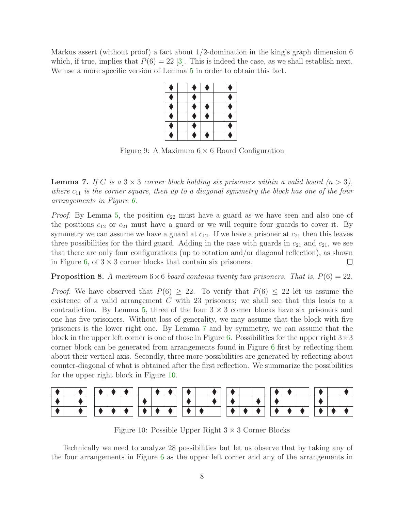Markus assert (without proof) a fact about 1/2-domination in the king's graph dimension 6 which, if true, implies that  $P(6) = 22$  [\[3\]](#page-17-0). This is indeed the case, as we shall establish next. We use a more specific version of Lemma [5](#page-5-4) in order to obtain this fact.

| ۸ | ۰                                                                                                                                | ۰ | n |
|---|----------------------------------------------------------------------------------------------------------------------------------|---|---|
| Ô | ۰                                                                                                                                |   | Ê |
| Â | Ô                                                                                                                                | ٠ | P |
| ۰ | Ô                                                                                                                                | O | m |
| ۹ | erialistik<br>1970 - Paul Barnett, filosof filosof eta internationalistik<br>1970 - Paul Barnett, filosof eta internationalistik |   |   |
| n | Â                                                                                                                                | Ô | × |

<span id="page-7-0"></span>Figure 9: A Maximum  $6 \times 6$  Board Configuration

<span id="page-7-1"></span>**Lemma 7.** If C is a  $3 \times 3$  corner block holding six prisoners within a valid board  $(n > 3)$ , where  $c_{11}$  is the corner square, then up to a diagonal symmetry the block has one of the four arrangements in Figure [6.](#page-5-1)

*Proof.* By Lemma [5,](#page-5-4) the position  $c_{22}$  must have a guard as we have seen and also one of the positions  $c_{12}$  or  $c_{21}$  must have a guard or we will require four guards to cover it. By symmetry we can assume we have a guard at  $c_{12}$ . If we have a prisoner at  $c_{21}$  then this leaves three possibilities for the third guard. Adding in the case with guards in  $c_{21}$  and  $c_{21}$ , we see that there are only four configurations (up to rotation and/or diagonal reflection), as shown in Figure [6,](#page-5-1) of  $3 \times 3$  corner blocks that contain six prisoners.  $\Box$ 

**Proposition 8.** A maximum  $6 \times 6$  board contains twenty two prisoners. That is,  $P(6) = 22$ .

*Proof.* We have observed that  $P(6) > 22$ . To verify that  $P(6) < 22$  let us assume the existence of a valid arrangement  $C$  with 23 prisoners; we shall see that this leads to a contradiction. By Lemma [5,](#page-5-4) three of the four  $3 \times 3$  corner blocks have six prisoners and one has five prisoners. Without loss of generality, we may assume that the block with five prisoners is the lower right one. By Lemma [7](#page-7-1) and by symmetry, we can assume that the block in the upper left corner is one of those in Figure [6.](#page-5-1) Possibilities for the upper right  $3\times3$ corner block can be generated from arrangements found in Figure [6](#page-5-1) first by reflecting them about their vertical axis. Secondly, three more possibilities are generated by reflecting about counter-diagonal of what is obtained after the first reflection. We summarize the possibilities for the upper right block in Figure [10.](#page-7-2)

|  |  |  |  | $\bullet$ $\hphantom{a}$ $\hphantom{a}$ | $\bullet$ $\mathsf{I}$ |  |  | $\blacktriangleright$ 1 | $\bullet$ $\mathord{\hspace{1pt}\text{--}\hspace{1pt}}$ |  |  |  |
|--|--|--|--|-----------------------------------------|------------------------|--|--|-------------------------|---------------------------------------------------------|--|--|--|

<span id="page-7-2"></span>Figure 10: Possible Upper Right  $3 \times 3$  Corner Blocks

Technically we need to analyze 28 possibilities but let us observe that by taking any of the four arrangements in Figure [6](#page-5-1) as the upper left corner and any of the arrangements in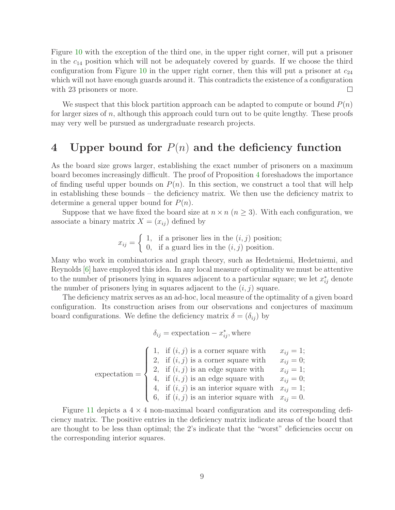Figure [10](#page-7-2) with the exception of the third one, in the upper right corner, will put a prisoner in the  $c_{14}$  position which will not be adequately covered by guards. If we choose the third configuration from Figure [10](#page-7-2) in the upper right corner, then this will put a prisoner at  $c_{24}$ which will not have enough guards around it. This contradicts the existence of a configuration with 23 prisoners or more.  $\Box$ 

We suspect that this block partition approach can be adapted to compute or bound  $P(n)$ for larger sizes of n, although this approach could turn out to be quite lengthy. These proofs may very well be pursued as undergraduate research projects.

### <span id="page-8-0"></span>4 Upper bound for  $P(n)$  and the deficiency function

As the board size grows larger, establishing the exact number of prisoners on a maximum board becomes increasingly difficult. The proof of Proposition [4](#page-4-3) foreshadows the importance of finding useful upper bounds on  $P(n)$ . In this section, we construct a tool that will help in establishing these bounds – the deficiency matrix. We then use the deficiency matrix to determine a general upper bound for  $P(n)$ .

Suppose that we have fixed the board size at  $n \times n$  ( $n \geq 3$ ). With each configuration, we associate a binary matrix  $X = (x_{ij})$  defined by

$$
x_{ij} = \begin{cases} 1, & \text{if a prisoner lies in the } (i, j) \text{ position;} \\ 0, & \text{if a guard lies in the } (i, j) \text{ position.} \end{cases}
$$

Many who work in combinatorics and graph theory, such as Hedetniemi, Hedetniemi, and Reynolds [\[6\]](#page-17-4) have employed this idea. In any local measure of optimality we must be attentive to the number of prisoners lying in squares adjacent to a particular square; we let  $x_{ij}^*$  denote the number of prisoners lying in squares adjacent to the  $(i, j)$  square.

The deficiency matrix serves as an ad-hoc, local measure of the optimality of a given board configuration. Its construction arises from our observations and conjectures of maximum board configurations. We define the deficiency matrix  $\delta = (\delta_{ij})$  by

 $\delta_{ij}$  = expectation –  $x^*_{ij}$ , where

|                 | 1, if $(i, j)$ is a corner square with                                                                       | $x_{ij} = 1;$ |
|-----------------|--------------------------------------------------------------------------------------------------------------|---------------|
|                 | 2, if $(i, j)$ is a corner square with                                                                       | $x_{ii}=0;$   |
|                 |                                                                                                              |               |
| $expectation =$ | 2, if $(i, j)$ is an edge square with $x_{ij} = 1$ ;<br>4, if $(i, j)$ is an edge square with $x_{ij} = 0$ ; |               |
|                 | 4, if $(i, j)$ is an interior square with $x_{ij} = 1$ ;                                                     |               |
|                 | 6, if $(i, j)$ is an interior square with $x_{ij} = 0$ .                                                     |               |

Figure [11](#page-9-0) depicts a  $4 \times 4$  non-maximal board configuration and its corresponding deficiency matrix. The positive entries in the deficiency matrix indicate areas of the board that are thought to be less than optimal; the 2's indicate that the "worst" deficiencies occur on the corresponding interior squares.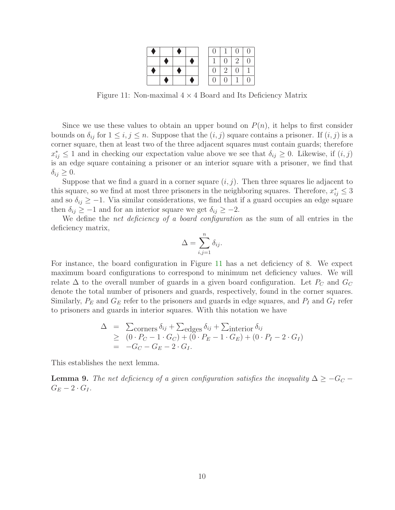|  |  |  | L             | $\left( \right)$ |  |
|--|--|--|---------------|------------------|--|
|  |  |  | $\Box$        | 2 <sub>1</sub>   |  |
|  |  |  | $\mathcal{L}$ |                  |  |
|  |  |  |               |                  |  |

<span id="page-9-0"></span>Figure 11: Non-maximal  $4 \times 4$  Board and Its Deficiency Matrix

Since we use these values to obtain an upper bound on  $P(n)$ , it helps to first consider bounds on  $\delta_{ij}$  for  $1 \le i, j \le n$ . Suppose that the  $(i, j)$  square contains a prisoner. If  $(i, j)$  is a corner square, then at least two of the three adjacent squares must contain guards; therefore  $x_{ij}^* \leq 1$  and in checking our expectation value above we see that  $\delta_{ij} \geq 0$ . Likewise, if  $(i, j)$ is an edge square containing a prisoner or an interior square with a prisoner, we find that  $\delta_{ij} \geq 0$ .

Suppose that we find a guard in a corner square  $(i, j)$ . Then three squares lie adjacent to this square, so we find at most three prisoners in the neighboring squares. Therefore,  $x_{ij}^* \leq 3$ and so  $\delta_{ij} \geq -1$ . Via similar considerations, we find that if a guard occupies an edge square then  $\delta_{ij} \geq -1$  and for an interior square we get  $\delta_{ij} \geq -2$ .

We define the *net deficiency of a board configuration* as the sum of all entries in the deficiency matrix,

$$
\Delta = \sum_{i,j=1}^n \delta_{ij}.
$$

For instance, the board configuration in Figure [11](#page-9-0) has a net deficiency of 8. We expect maximum board configurations to correspond to minimum net deficiency values. We will relate  $\Delta$  to the overall number of guards in a given board configuration. Let  $P_C$  and  $G_C$ denote the total number of prisoners and guards, respectively, found in the corner squares. Similarly,  $P_E$  and  $G_E$  refer to the prisoners and guards in edge squares, and  $P_I$  and  $G_I$  refer to prisoners and guards in interior squares. With this notation we have

$$
\Delta = \sum_{\text{corners}} \delta_{ij} + \sum_{\text{edges}} \delta_{ij} + \sum_{\text{interior}} \delta_{ij}
$$
  
\n
$$
\geq (0 \cdot P_C - 1 \cdot G_C) + (0 \cdot P_E - 1 \cdot G_E) + (0 \cdot P_I - 2 \cdot G_I)
$$
  
\n
$$
= -G_C - G_E - 2 \cdot G_I.
$$

<span id="page-9-1"></span>This establishes the next lemma.

**Lemma 9.** The net deficiency of a given configuration satisfies the inequality  $\Delta \geq -G_C$  –  $G_E-2\cdot G_I$ .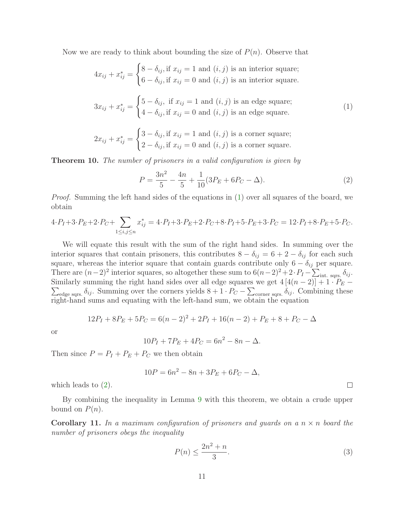Now we are ready to think about bounding the size of  $P(n)$ . Observe that

<span id="page-10-0"></span>
$$
4x_{ij} + x_{ij}^* = \begin{cases} 8 - \delta_{ij}, \text{if } x_{ij} = 1 \text{ and } (i, j) \text{ is an interior square;} \\ 6 - \delta_{ij}, \text{if } x_{ij} = 0 \text{ and } (i, j) \text{ is an interior square.} \end{cases}
$$

$$
3x_{ij} + x_{ij}^* = \begin{cases} 5 - \delta_{ij}, & \text{if } x_{ij} = 1 \text{ and } (i, j) \text{ is an edge square;}\\ 4 - \delta_{ij}, & \text{if } x_{ij} = 0 \text{ and } (i, j) \text{ is an edge square.} \end{cases}
$$
(1)

$$
2x_{ij} + x_{ij}^* = \begin{cases} 3 - \delta_{ij}, \text{if } x_{ij} = 1 \text{ and } (i, j) \text{ is a corner square;}\\ 2 - \delta_{ij}, \text{if } x_{ij} = 0 \text{ and } (i, j) \text{ is a corner square.} \end{cases}
$$

<span id="page-10-3"></span>Theorem 10. The number of prisoners in a valid configuration is given by

<span id="page-10-1"></span>
$$
P = \frac{3n^2}{5} - \frac{4n}{5} + \frac{1}{10}(3P_E + 6P_C - \Delta).
$$
 (2)

*Proof.* Summing the left hand sides of the equations in [\(1\)](#page-10-0) over all squares of the board, we obtain

$$
4 \cdot P_I + 3 \cdot P_E + 2 \cdot P_C + \sum_{1 \le i,j \le n} x_{ij}^* = 4 \cdot P_I + 3 \cdot P_E + 2 \cdot P_C + 8 \cdot P_I + 5 \cdot P_E + 3 \cdot P_C = 12 \cdot P_I + 8 \cdot P_E + 5 \cdot P_C.
$$

We will equate this result with the sum of the right hand sides. In summing over the interior squares that contain prisoners, this contributes  $8 - \delta_{ij} = 6 + 2 - \delta_{ij}$  for each such square, whereas the interior square that contain guards contribute only  $6 - \delta_{ij}$  per square. There are  $(n-2)^2$  interior squares, so altogether these sum to  $6(n-2)^2 + 2 \cdot P_I - \sum_{\text{int. sqrs.}} \delta_{ij}$ . Similarly summing the right hand sides over all edge squares we get  $4[4(n-2)] + 1 \cdot P_E$  $\sum_{\text{edge says}} \delta_{ij}$ . Summing over the corners yields  $8+1 \cdot P_C - \sum_{\text{corner says}} \delta_{ij}$ . Combining these right-hand sums and equating with the left-hand sum, we obtain the equation

$$
12P_I + 8P_E + 5P_C = 6(n-2)^2 + 2P_I + 16(n-2) + P_E + 8 + P_C - \Delta
$$

or

$$
10P_I + 7P_E + 4P_C = 6n^2 - 8n - \Delta.
$$

Then since  $P = P_I + P_E + P_C$  we then obtain

$$
10P = 6n^2 - 8n + 3P_E + 6P_C - \Delta,
$$

which leads to [\(2\)](#page-10-1).

<span id="page-10-4"></span>By combining the inequality in Lemma [9](#page-9-1) with this theorem, we obtain a crude upper bound on  $P(n)$ .

**Corollary 11.** In a maximum configuration of prisoners and guards on a  $n \times n$  board the number of prisoners obeys the inequality

<span id="page-10-2"></span>
$$
P(n) \le \frac{2n^2 + n}{3}.\tag{3}
$$

 $\Box$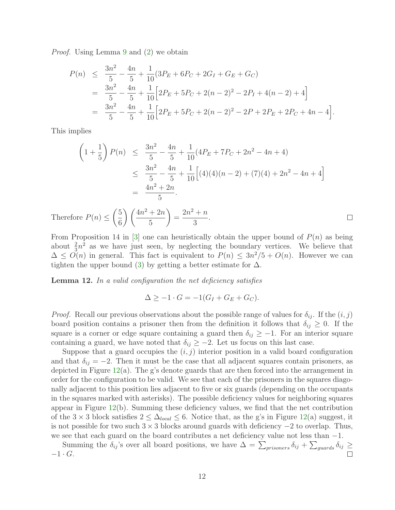Proof. Using Lemma [9](#page-9-1) and [\(2\)](#page-10-1) we obtain

$$
P(n) \leq \frac{3n^2}{5} - \frac{4n}{5} + \frac{1}{10}(3P_E + 6P_C + 2G_I + G_E + G_C)
$$
  
= 
$$
\frac{3n^2}{5} - \frac{4n}{5} + \frac{1}{10}\left[2P_E + 5P_C + 2(n-2)^2 - 2P_I + 4(n-2) + 4\right]
$$
  
= 
$$
\frac{3n^2}{5} - \frac{4n}{5} + \frac{1}{10}\left[2P_E + 5P_C + 2(n-2)^2 - 2P + 2P_E + 2P_C + 4n - 4\right].
$$

This implies

$$
\left(1+\frac{1}{5}\right)P(n) \leq \frac{3n^2}{5} - \frac{4n}{5} + \frac{1}{10}(4P_E + 7P_C + 2n^2 - 4n + 4)
$$
  

$$
\leq \frac{3n^2}{5} - \frac{4n}{5} + \frac{1}{10}\left[(4)(4)(n-2) + (7)(4) + 2n^2 - 4n + 4\right]
$$
  

$$
= \frac{4n^2 + 2n}{5}.
$$

 $\left(4n^2+2n\right)$  $2n^2 + n$  $\sqrt{5}$  $\setminus$ Therefore  $P(n) \leq$ = .  $\Box$ 6 5 3

From Proposition 14 in [\[3\]](#page-17-0) one can heuristically obtain the upper bound of  $P(n)$  as being about  $\frac{2}{3}n^2$  as we have just seen, by neglecting the boundary vertices. We believe that  $\Delta \leq O(n)$  in general. This fact is equivalent to  $P(n) \leq 3n^2/5 + O(n)$ . However we can tighten the upper bound [\(3\)](#page-10-2) by getting a better estimate for  $\Delta$ .

<span id="page-11-0"></span>**Lemma 12.** In a valid configuration the net deficiency satisfies

 $\Delta > -1 \cdot G = -1(G_I + G_E + G_C).$ 

*Proof.* Recall our previous observations about the possible range of values for  $\delta_{ij}$ . If the  $(i, j)$ board position contains a prisoner then from the definition it follows that  $\delta_{ij} \geq 0$ . If the square is a corner or edge square containing a guard then  $\delta_{ij} \geq -1$ . For an interior square containing a guard, we have noted that  $\delta_{ij} \geq -2$ . Let us focus on this last case.

Suppose that a guard occupies the  $(i, j)$  interior position in a valid board configuration and that  $\delta_{ij} = -2$ . Then it must be the case that all adjacent squares contain prisoners, as depicted in Figure  $12(a)$  $12(a)$ . The g's denote guards that are then forced into the arrangement in order for the configuration to be valid. We see that each of the prisoners in the squares diagonally adjacent to this position lies adjacent to five or six guards (depending on the occupants in the squares marked with asterisks). The possible deficiency values for neighboring squares appear in Figure [12\(](#page-12-0)b). Summing these deficiency values, we find that the net contribution of the 3 × 3 block satisfies  $2 \leq \Delta_{local} \leq 6$ . Notice that, as the g's in Figure [12\(](#page-12-0)a) suggest, it is not possible for two such  $3 \times 3$  blocks around guards with deficiency  $-2$  to overlap. Thus, we see that each guard on the board contributes a net deficiency value not less than −1.

Summing the  $\delta_{ij}$ 's over all board positions, we have  $\Delta = \sum_{prisoners} \delta_{ij} + \sum_{gaards} \delta_{ij} \ge$  $-1 \cdot G$ .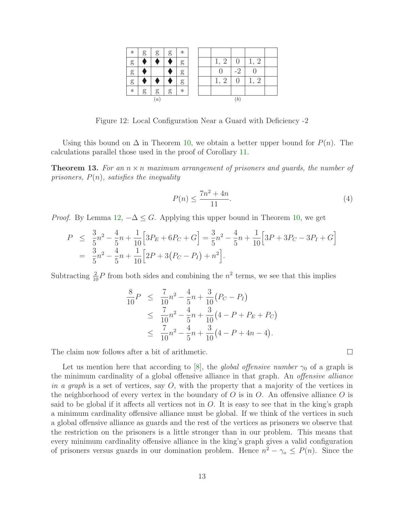| $\ast$ | g | g  | g | $\ast$ |  |                    |    |                      |  |
|--------|---|----|---|--------|--|--------------------|----|----------------------|--|
| g      |   |    |   | g      |  | $\mathbf{1}$       |    | 1,<br>$\overline{2}$ |  |
| g      |   |    |   | g      |  |                    | -2 |                      |  |
| g      |   |    |   | g      |  | 1<br>2<br><b>.</b> |    | 2                    |  |
| $\ast$ | g | g  | g | $\ast$ |  |                    |    |                      |  |
|        |   | (a |   |        |  |                    |    |                      |  |

<span id="page-12-0"></span>Figure 12: Local Configuration Near a Guard with Deficiency -2

Using this bound on  $\Delta$  in Theorem [10,](#page-10-3) we obtain a better upper bound for  $P(n)$ . The calculations parallel those used in the proof of Corollary [11.](#page-10-4)

**Theorem 13.** For an  $n \times n$  maximum arrangement of prisoners and guards, the number of prisoners,  $P(n)$ , satisfies the inequality

<span id="page-12-1"></span>
$$
P(n) \le \frac{7n^2 + 4n}{11}.\tag{4}
$$

 $\Box$ 

*Proof.* By Lemma  $12, -\Delta \leq G$  $12, -\Delta \leq G$ . Applying this upper bound in Theorem [10,](#page-10-3) we get

$$
P \leq \frac{3}{5}n^2 - \frac{4}{5}n + \frac{1}{10}\left[3P_E + 6P_C + G\right] = \frac{3}{5}n^2 - \frac{4}{5}n + \frac{1}{10}\left[3P + 3P_C - 3P_I + G\right]
$$
  
=  $\frac{3}{5}n^2 - \frac{4}{5}n + \frac{1}{10}\left[2P + 3(P_C - P_I) + n^2\right].$ 

Subtracting  $\frac{2}{10}P$  from both sides and combining the  $n^2$  terms, we see that this implies

$$
\frac{8}{10}P \leq \frac{7}{10}n^2 - \frac{4}{5}n + \frac{3}{10}(P_C - P_I)
$$
\n
$$
\leq \frac{7}{10}n^2 - \frac{4}{5}n + \frac{3}{10}(4 - P + P_E + P_C)
$$
\n
$$
\leq \frac{7}{10}n^2 - \frac{4}{5}n + \frac{3}{10}(4 - P + 4n - 4).
$$

The claim now follows after a bit of arithmetic.

Let us mention here that according to [\[8\]](#page-18-1), the *global offensive number*  $\gamma_0$  of a graph is the minimum cardinality of a global offensive alliance in that graph. An offensive alliance in a graph is a set of vertices, say  $O$ , with the property that a majority of the vertices in the neighborhood of every vertex in the boundary of  $O$  is in  $O$ . An offensive alliance  $O$  is said to be global if it affects all vertices not in  $O$ . It is easy to see that in the king's graph a minimum cardinality offensive alliance must be global. If we think of the vertices in such a global offensive alliance as guards and the rest of the vertices as prisoners we observe that the restriction on the prisoners is a little stronger than in our problem. This means that every minimum cardinality offensive alliance in the king's graph gives a valid configuration of prisoners versus guards in our domination problem. Hence  $n^2 - \gamma_o \le P(n)$ . Since the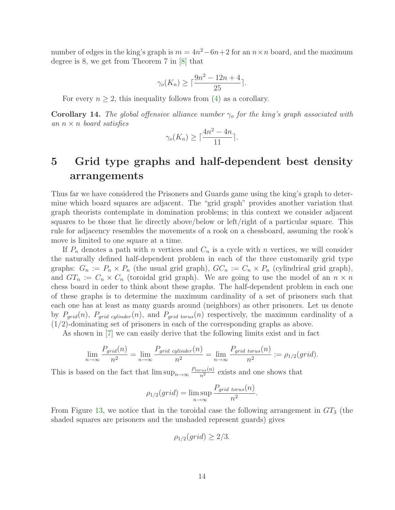number of edges in the king's graph is  $m = 4n^2 - 6n + 2$  for an  $n \times n$  board, and the maximum degree is 8, we get from Theorem 7 in [\[8\]](#page-18-1) that

$$
\gamma_o(K_n) \ge \lceil \frac{9n^2 - 12n + 4}{25} \rceil.
$$

For every  $n \geq 2$ , this inequality follows from [\(4\)](#page-12-1) as a corollary.

**Corollary 14.** The global offensive alliance number  $\gamma_o$  for the king's graph associated with an  $n \times n$  board satisfies

$$
\gamma_o(K_n) \ge \lceil \frac{4n^2 - 4n}{11} \rceil.
$$

## <span id="page-13-0"></span>5 Grid type graphs and half-dependent best density arrangements

Thus far we have considered the Prisoners and Guards game using the king's graph to determine which board squares are adjacent. The "grid graph" provides another variation that graph theorists contemplate in domination problems; in this context we consider adjacent squares to be those that lie directly above/below or left/right of a particular square. This rule for adjacency resembles the movements of a rook on a chessboard, assuming the rook's move is limited to one square at a time.

If  $P_n$  denotes a path with n vertices and  $C_n$  is a cycle with n vertices, we will consider the naturally defined half-dependent problem in each of the three customarily grid type graphs:  $G_n := P_n \times P_n$  (the usual grid graph),  $GC_n := C_n \times P_n$  (cylindrical grid graph), and  $GT_n := C_n \times C_n$  (toroidal grid graph). We are going to use the model of an  $n \times n$ chess board in order to think about these graphs. The half-dependent problem in each one of these graphs is to determine the maximum cardinality of a set of prisoners such that each one has at least as many guards around (neighbors) as other prisoners. Let us denote by  $P_{grid}(n)$ ,  $P_{grid}$  cylinder(n), and  $P_{grid}$  torus(n) respectively, the maximum cardinality of a  $(1/2)$ -dominating set of prisoners in each of the corresponding graphs as above.

As shown in [\[7\]](#page-18-2) we can easily derive that the following limits exist and in fact

$$
\lim_{n \to \infty} \frac{P_{grid}(n)}{n^2} = \lim_{n \to \infty} \frac{P_{grid\ cylinder}(n)}{n^2} = \lim_{n \to \infty} \frac{P_{grid\ torus}(n)}{n^2} := \rho_{1/2}(grid).
$$

This is based on the fact that  $\limsup_{n\to\infty}\frac{P_{torus}(n)}{n^2}$  exists and one shows that

$$
\rho_{1/2}(grid) = \limsup_{n \to \infty} \frac{P_{grid\ torus}(n)}{n^2}.
$$

From Figure [13,](#page-14-0) we notice that in the toroidal case the following arrangement in  $GT_3$  (the shaded squares are prisoners and the unshaded represent guards) gives

$$
\rho_{1/2}(grid) \ge 2/3.
$$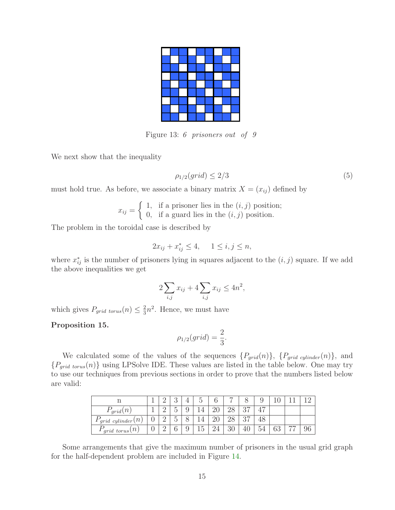<span id="page-14-0"></span>Figure 13: 6 prisoners out of 9

We next show that the inequality

$$
\rho_{1/2}(grid) \le 2/3\tag{5}
$$

must hold true. As before, we associate a binary matrix  $X = (x_{ij})$  defined by

$$
x_{ij} = \begin{cases} 1, & \text{if a prisoner lies in the } (i, j) \text{ position;} \\ 0, & \text{if a guard lies in the } (i, j) \text{ position.} \end{cases}
$$

The problem in the toroidal case is described by

$$
2x_{ij} + x_{ij}^* \le 4, \quad 1 \le i, j \le n,
$$

where  $x_{ij}^*$  is the number of prisoners lying in squares adjacent to the  $(i, j)$  square. If we add the above inequalities we get

$$
2\sum_{i,j} x_{ij} + 4\sum_{i,j} x_{ij} \le 4n^2,
$$

which gives  $P_{grid\ torus}(n) \leq \frac{2}{3}$  $\frac{2}{3}n^2$ . Hence, we must have

Proposition 15.

$$
\rho_{1/2}(grid) = \frac{2}{3}.
$$

We calculated some of the values of the sequences  $\{P_{grid}(n)\}, \{P_{grid\ cylinder}(n)\},$  and  ${P_{grid\ torus}(n)}$  using LPSolve IDE. These values are listed in the table below. One may try to use our techniques from previous sections in order to prove that the numbers listed below are valid:

|                                  |   |        | ◡                             |        | ◡                           |    | -  |                | υ   |    |    |    |
|----------------------------------|---|--------|-------------------------------|--------|-----------------------------|----|----|----------------|-----|----|----|----|
| $\mathcal{C}_{grid}(n)$          |   | ∩<br>↩ | $\overline{\phantom{0}}$<br>◡ | ◡      |                             | ∠∪ | ∠∪ | $\Omega$<br>◡  |     |    |    |    |
| $\, n$<br>$\int grid \ cylinder$ | U | ∩<br>↵ | $\overline{\phantom{0}}$<br>◡ |        |                             | ∠∪ | ∠∪ | $\Omega$<br>◡ィ |     |    |    |    |
| $\mathcal{F}_{grid\ torus}(n)$   | v | Ω<br>↵ | ⌒<br>O.                       | u<br>◡ | $\tilde{\phantom{a}}$<br>ŦΛ |    | 30 | 40             | -54 | 63 | —— | 96 |

Some arrangements that give the maximum number of prisoners in the usual grid graph for the half-dependent problem are included in Figure [14.](#page-15-0)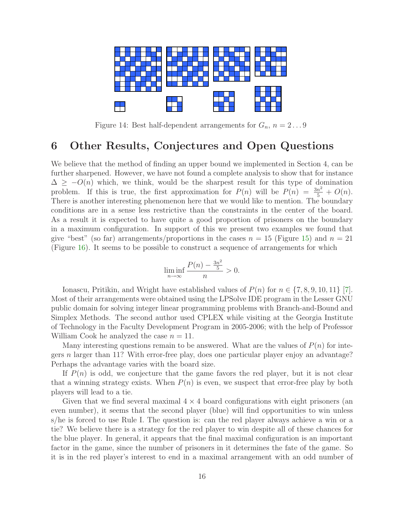

<span id="page-15-0"></span>Figure 14: Best half-dependent arrangements for  $G_n$ ,  $n = 2 \dots 9$ 

#### 6 Other Results, Conjectures and Open Questions

We believe that the method of finding an upper bound we implemented in Section 4, can be further sharpened. However, we have not found a complete analysis to show that for instance  $\Delta \geq -O(n)$  which, we think, would be the sharpest result for this type of domination problem. If this is true, the first approximation for  $P(n)$  will be  $P(n) = \frac{3n^2}{5} + O(n)$ . There is another interesting phenomenon here that we would like to mention. The boundary conditions are in a sense less restrictive than the constraints in the center of the board. As a result it is expected to have quite a good proportion of prisoners on the boundary in a maximum configuration. In support of this we present two examples we found that give "best" (so far) arrangements/proportions in the cases  $n = 15$  (Figure [15\)](#page-16-0) and  $n = 21$ (Figure [16\)](#page-16-1). It seems to be possible to construct a sequence of arrangements for which

$$
\liminf_{n \to \infty} \frac{P(n) - \frac{3n^2}{5}}{n} > 0.
$$

Ionascu, Pritikin, and Wright have established values of  $P(n)$  for  $n \in \{7, 8, 9, 10, 11\}$  [\[7\]](#page-18-2). Most of their arrangements were obtained using the LPSolve IDE program in the Lesser GNU public domain for solving integer linear programming problems with Branch-and-Bound and Simplex Methods. The second author used CPLEX while visiting at the Georgia Institute of Technology in the Faculty Development Program in 2005-2006; with the help of Professor William Cook he analyzed the case  $n = 11$ .

Many interesting questions remain to be answered. What are the values of  $P(n)$  for integers n larger than 11? With error-free play, does one particular player enjoy an advantage? Perhaps the advantage varies with the board size.

If  $P(n)$  is odd, we conjecture that the game favors the red player, but it is not clear that a winning strategy exists. When  $P(n)$  is even, we suspect that error-free play by both players will lead to a tie.

Given that we find several maximal  $4 \times 4$  board configurations with eight prisoners (an even number), it seems that the second player (blue) will find opportunities to win unless s/he is forced to use Rule I. The question is: can the red player always achieve a win or a tie? We believe there is a strategy for the red player to win despite all of these chances for the blue player. In general, it appears that the final maximal configuration is an important factor in the game, since the number of prisoners in it determines the fate of the game. So it is in the red player's interest to end in a maximal arrangement with an odd number of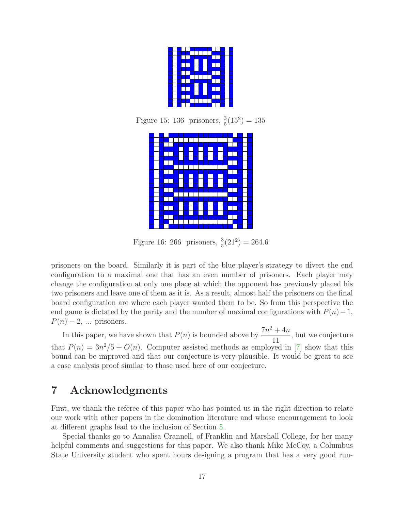<span id="page-16-0"></span>Figure 15: 136 prisoners,  $\frac{3}{5}(15^2) = 135$ 



<span id="page-16-1"></span>Figure 16: 266 prisoners,  $\frac{3}{5}(21^2) = 264.6$ 

prisoners on the board. Similarly it is part of the blue player's strategy to divert the end configuration to a maximal one that has an even number of prisoners. Each player may change the configuration at only one place at which the opponent has previously placed his two prisoners and leave one of them as it is. As a result, almost half the prisoners on the final board configuration are where each player wanted them to be. So from this perspective the end game is dictated by the parity and the number of maximal configurations with  $P(n)-1$ ,  $P(n) - 2$ , ... prisoners.

In this paper, we have shown that  $P(n)$  is bounded above by  $\frac{7n^2 + 4n}{11}$ 11 , but we conjecture that  $P(n) = 3n^2/5 + O(n)$ . Computer assisted methods as employed in [\[7\]](#page-18-2) show that this bound can be improved and that our conjecture is very plausible. It would be great to see a case analysis proof similar to those used here of our conjecture.

### 7 Acknowledgments

First, we thank the referee of this paper who has pointed us in the right direction to relate our work with other papers in the domination literature and whose encouragement to look at different graphs lead to the inclusion of Section [5.](#page-13-0)

Special thanks go to Annalisa Crannell, of Franklin and Marshall College, for her many helpful comments and suggestions for this paper. We also thank Mike McCoy, a Columbus State University student who spent hours designing a program that has a very good run-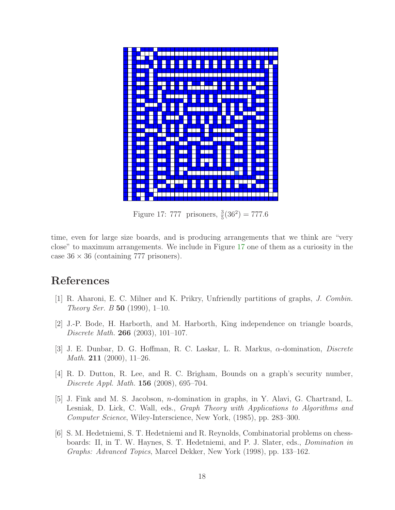

<span id="page-17-5"></span>Figure 17: 777 prisoners,  $\frac{3}{5}(36^2) = 777.6$ 

time, even for large size boards, and is producing arrangements that we think are "very close" to maximum arrangements. We include in Figure [17](#page-17-5) one of them as a curiosity in the case  $36 \times 36$  (containing 777 prisoners).

#### <span id="page-17-3"></span>References

- <span id="page-17-1"></span>[1] R. Aharoni, E. C. Milner and K. Prikry, Unfriendly partitions of graphs, J. Combin. Theory Ser. B 50 (1990), 1–10.
- [2] J.-P. Bode, H. Harborth, and M. Harborth, King independence on triangle boards, Discrete Math. 266 (2003), 101–107.
- <span id="page-17-0"></span>[3] J. E. Dunbar, D. G. Hoffman, R. C. Laskar, L. R. Markus, α-domination, Discrete *Math.* **211** (2000), 11–26.
- <span id="page-17-2"></span>[4] R. D. Dutton, R. Lee, and R. C. Brigham, Bounds on a graph's security number, Discrete Appl. Math. 156 (2008), 695–704.
- [5] J. Fink and M. S. Jacobson, n-domination in graphs, in Y. Alavi, G. Chartrand, L. Lesniak, D. Lick, C. Wall, eds., Graph Theory with Applications to Algorithms and Computer Science, Wiley-Interscience, New York, (1985), pp. 283–300.
- <span id="page-17-4"></span>[6] S. M. Hedetniemi, S. T. Hedetniemi and R. Reynolds, Combinatorial problems on chessboards: II, in T. W. Haynes, S. T. Hedetniemi, and P. J. Slater, eds., Domination in Graphs: Advanced Topics, Marcel Dekker, New York (1998), pp. 133–162.